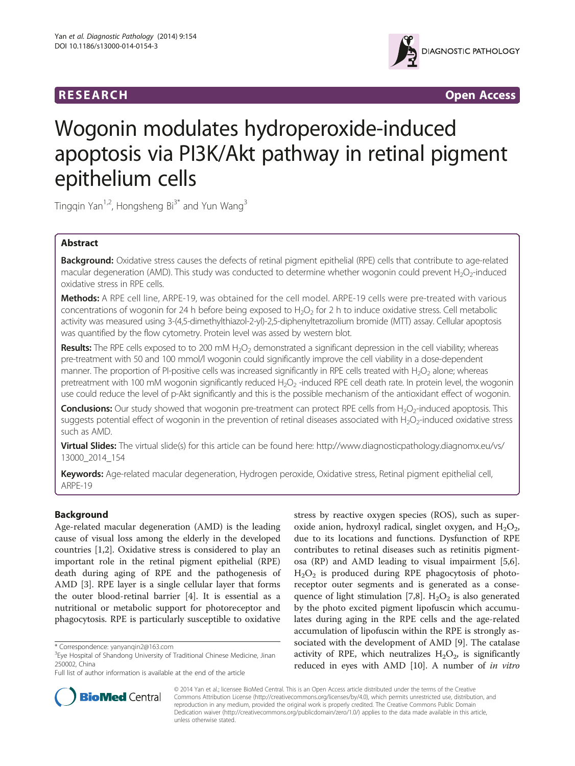

**RESEARCH RESEARCH** *CHECKER CHECKER CONTROLLER CHECKER CHECKER CHECKER CHECKER CHECKER CHECKER* **CHECKER CHECKER** 

# Wogonin modulates hydroperoxide-induced apoptosis via PI3K/Akt pathway in retinal pigment epithelium cells

Tingqin Yan<sup>1,2</sup>, Hongsheng Bi<sup>3\*</sup> and Yun Wang<sup>3</sup>

# Abstract

Background: Oxidative stress causes the defects of retinal pigment epithelial (RPE) cells that contribute to age-related macular degeneration (AMD). This study was conducted to determine whether wogonin could prevent  $H_2O_2$ -induced oxidative stress in RPE cells.

Methods: A RPE cell line, ARPE-19, was obtained for the cell model. ARPE-19 cells were pre-treated with various concentrations of wogonin for 24 h before being exposed to  $H_2O_2$  for 2 h to induce oxidative stress. Cell metabolic activity was measured using 3-(4,5-dimethylthiazol-2-yl)-2,5-diphenyltetrazolium bromide (MTT) assay. Cellular apoptosis was quantified by the flow cytometry. Protein level was assed by western blot.

Results: The RPE cells exposed to to 200 mM H<sub>2</sub>O<sub>2</sub> demonstrated a significant depression in the cell viability; whereas pre-treatment with 50 and 100 mmol/l wogonin could significantly improve the cell viability in a dose-dependent manner. The proportion of PI-positive cells was increased significantly in RPE cells treated with  $H_2O_2$  alone; whereas pretreatment with 100 mM wogonin significantly reduced H<sub>2</sub>O<sub>2</sub> -induced RPE cell death rate. In protein level, the wogonin use could reduce the level of p-Akt significantly and this is the possible mechanism of the antioxidant effect of wogonin.

Conclusions: Our study showed that wogonin pre-treatment can protect RPE cells from H<sub>2</sub>O<sub>2</sub>-induced apoptosis. This suggests potential effect of wogonin in the prevention of retinal diseases associated with H<sub>2</sub>O<sub>2</sub>-induced oxidative stress such as AMD.

Virtual Slides: The virtual slide(s) for this article can be found here: [http://www.diagnosticpathology.diagnomx.eu/vs/](http://www.diagnosticpathology.diagnomx.eu/vs/13000_2014_154) [13000\\_2014\\_154](http://www.diagnosticpathology.diagnomx.eu/vs/13000_2014_154)

Keywords: Age-related macular degeneration, Hydrogen peroxide, Oxidative stress, Retinal pigment epithelial cell, ARPE-19

# Background

Age-related macular degeneration (AMD) is the leading cause of visual loss among the elderly in the developed countries [\[1,2](#page-4-0)]. Oxidative stress is considered to play an important role in the retinal pigment epithelial (RPE) death during aging of RPE and the pathogenesis of AMD [\[3\]](#page-4-0). RPE layer is a single cellular layer that forms the outer blood-retinal barrier [\[4\]](#page-4-0). It is essential as a nutritional or metabolic support for photoreceptor and phagocytosis. RPE is particularly susceptible to oxidative

stress by reactive oxygen species (ROS), such as superoxide anion, hydroxyl radical, singlet oxygen, and  $H_2O_2$ , due to its locations and functions. Dysfunction of RPE contributes to retinal diseases such as retinitis pigmentosa (RP) and AMD leading to visual impairment [\[5,6](#page-4-0)]. H2O2 is produced during RPE phagocytosis of photoreceptor outer segments and is generated as a conse-quence of light stimulation [\[7,8](#page-4-0)].  $H_2O_2$  is also generated by the photo excited pigment lipofuscin which accumulates during aging in the RPE cells and the age-related accumulation of lipofuscin within the RPE is strongly associated with the development of AMD [\[9](#page-4-0)]. The catalase activity of RPE, which neutralizes  $H_2O_2$ , is significantly reduced in eyes with AMD [\[10\]](#page-4-0). A number of in vitro



© 2014 Yan et al.; licensee BioMed Central. This is an Open Access article distributed under the terms of the Creative Commons Attribution License [\(http://creativecommons.org/licenses/by/4.0\)](http://creativecommons.org/licenses/by/4.0), which permits unrestricted use, distribution, and reproduction in any medium, provided the original work is properly credited. The Creative Commons Public Domain Dedication waiver [\(http://creativecommons.org/publicdomain/zero/1.0/](http://creativecommons.org/publicdomain/zero/1.0/)) applies to the data made available in this article, unless otherwise stated.

<sup>\*</sup> Correspondence: [yanyanqin2@163.com](mailto:yanyanqin2@163.com) <sup>3</sup>

<sup>&</sup>lt;sup>3</sup> Eye Hospital of Shandong University of Traditional Chinese Medicine, Jinan 250002, China

Full list of author information is available at the end of the article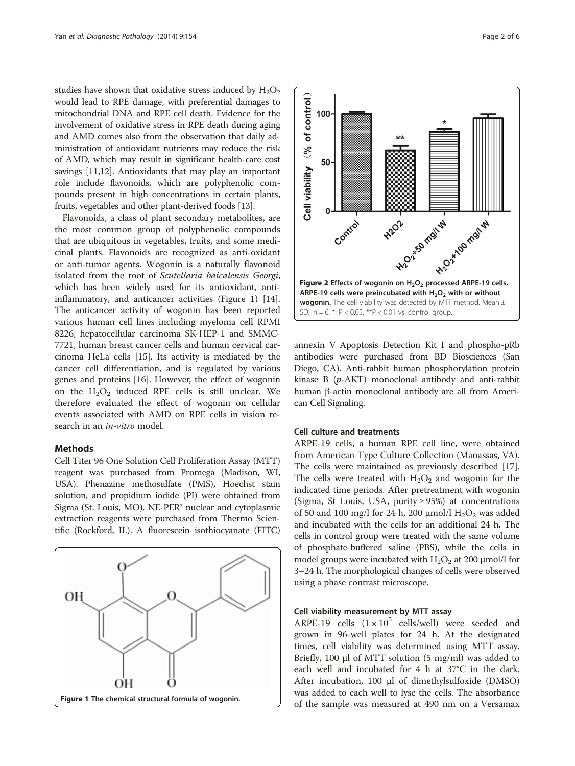<span id="page-1-0"></span>studies have shown that oxidative stress induced by  $H_2O_2$ would lead to RPE damage, with preferential damages to mitochondrial DNA and RPE cell death. Evidence for the involvement of oxidative stress in RPE death during aging and AMD comes also from the observation that daily administration of antioxidant nutrients may reduce the risk of AMD, which may result in significant health-care cost savings [[11](#page-4-0),[12](#page-5-0)]. Antioxidants that may play an important role include flavonoids, which are polyphenolic compounds present in high concentrations in certain plants, fruits, vegetables and other plant-derived foods [\[13](#page-5-0)].

Flavonoids, a class of plant secondary metabolites, are the most common group of polyphenolic compounds that are ubiquitous in vegetables, fruits, and some medicinal plants. Flavonoids are recognized as anti-oxidant or anti-tumor agents. Wogonin is a naturally flavonoid isolated from the root of Scutellaria baicalensis Georgi, which has been widely used for its antioxidant, antiinflammatory, and anticancer activities (Figure 1) [\[14](#page-5-0)]. The anticancer activity of wogonin has been reported various human cell lines including myeloma cell RPMI 8226, hepatocellular carcinoma SK-HEP-1 and SMMC-7721, human breast cancer cells and human cervical carcinoma HeLa cells [\[15\]](#page-5-0). Its activity is mediated by the cancer cell differentiation, and is regulated by various genes and proteins [[16](#page-5-0)]. However, the effect of wogonin on the  $H_2O_2$  induced RPE cells is still unclear. We therefore evaluated the effect of wogonin on cellular events associated with AMD on RPE cells in vision research in an *in-vitro* model.

#### Methods

Cell Titer 96 One Solution Cell Proliferation Assay (MTT) reagent was purchased from Promega (Madison, WI, USA). Phenazine methosulfate (PMS), Hoechst stain solution, and propidium iodide (PI) were obtained from Sigma (St. Louis, MO). NE-PER® nuclear and cytoplasmic extraction reagents were purchased from Thermo Scientific (Rockford, IL). A fluorescein isothiocyanate (FITC)





annexin V Apoptosis Detection Kit I and phospho-pRb antibodies were purchased from BD Biosciences (San Diego, CA). Anti-rabbit human phosphorylation protein kinase B (p-AKT) monoclonal antibody and anti-rabbit human β-actin monoclonal antibody are all from American Cell Signaling.

# Cell culture and treatments

ARPE-19 cells, a human RPE cell line, were obtained from American Type Culture Collection (Manassas, VA). The cells were maintained as previously described [\[17](#page-5-0)]. The cells were treated with  $H_2O_2$  and wogonin for the indicated time periods. After pretreatment with wogonin (Sigma, St Louis, USA, purity  $\geq$  95%) at concentrations of 50 and 100 mg/l for 24 h, 200  $\mu$ mol/l H<sub>2</sub>O<sub>2</sub> was added and incubated with the cells for an additional 24 h. The cells in control group were treated with the same volume of phosphate-buffered saline (PBS), while the cells in model groups were incubated with  $H_2O_2$  at 200  $\mu$ mol/l for 3–24 h. The morphological changes of cells were observed using a phase contrast microscope.

#### Cell viability measurement by MTT assay

ARPE-19 cells  $(1 \times 10^5$  cells/well) were seeded and grown in 96-well plates for 24 h. At the designated times, cell viability was determined using MTT assay. Briefly, 100 μl of MTT solution  $(5 \text{ mg/ml})$  was added to each well and incubated for 4 h at 37°C in the dark. After incubation, 100 μl of dimethylsulfoxide (DMSO) was added to each well to lyse the cells. The absorbance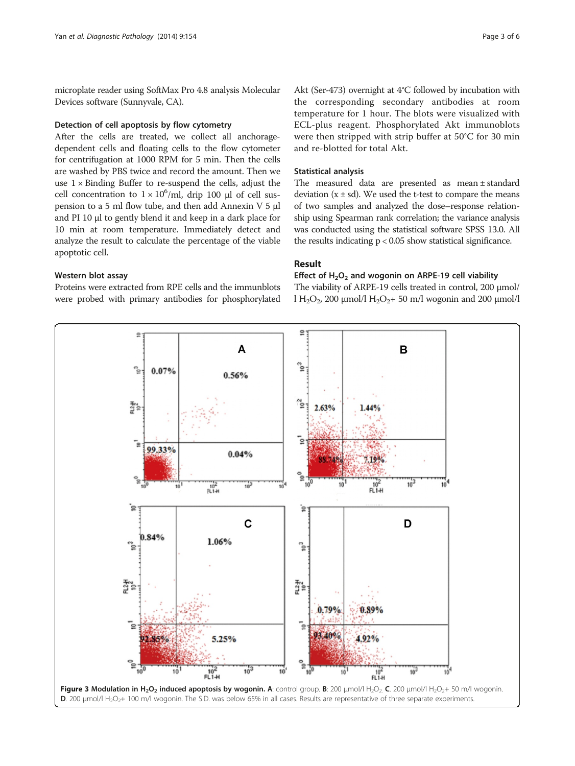<span id="page-2-0"></span>microplate reader using SoftMax Pro 4.8 analysis Molecular Devices software (Sunnyvale, CA).

#### Detection of cell apoptosis by flow cytometry

After the cells are treated, we collect all anchoragedependent cells and floating cells to the flow cytometer for centrifugation at 1000 RPM for 5 min. Then the cells are washed by PBS twice and record the amount. Then we use  $1 \times$  Binding Buffer to re-suspend the cells, adjust the cell concentration to  $1 \times 10^6$ /ml, drip 100 µl of cell suspension to a 5 ml flow tube, and then add Annexin V 5 μl and PI 10 μl to gently blend it and keep in a dark place for 10 min at room temperature. Immediately detect and analyze the result to calculate the percentage of the viable apoptotic cell.

# Western blot assay

Proteins were extracted from RPE cells and the immunblots were probed with primary antibodies for phosphorylated

Akt (Ser-473) overnight at 4°C followed by incubation with the corresponding secondary antibodies at room temperature for 1 hour. The blots were visualized with ECL-plus reagent. Phosphorylated Akt immunoblots were then stripped with strip buffer at 50°C for 30 min and re-blotted for total Akt.

#### Statistical analysis

The measured data are presented as mean ± standard deviation  $(x \pm sd)$ . We used the t-test to compare the means of two samples and analyzed the dose–response relationship using Spearman rank correlation; the variance analysis was conducted using the statistical software SPSS 13.0. All the results indicating  $p < 0.05$  show statistical significance.

### Result

# Effect of  $H_2O_2$  and wogonin on ARPE-19 cell viability

The viability of ARPE-19 cells treated in control, 200 μmol/ l H<sub>2</sub>O<sub>2</sub>, 200 μmol/l H<sub>2</sub>O<sub>2</sub>+ 50 m/l wogonin and 200 μmol/l

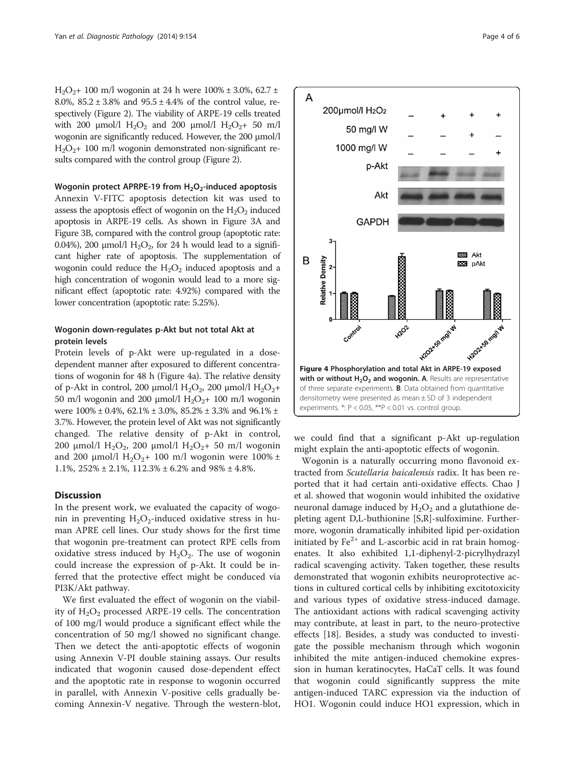$H_2O_2$ + 100 m/l wogonin at 24 h were 100% ± 3.0%, 62.7 ± 8.0%,  $85.2 \pm 3.8$ % and  $95.5 \pm 4.4$ % of the control value, respectively (Figure [2\)](#page-1-0). The viability of ARPE-19 cells treated with 200  $\mu$ mol/l H<sub>2</sub>O<sub>2</sub> and 200  $\mu$ mol/l H<sub>2</sub>O<sub>2</sub>+ 50 m/l wogonin are significantly reduced. However, the 200 μmol/l  $H_2O_2$ + 100 m/l wogonin demonstrated non-significant results compared with the control group (Figure [2](#page-1-0)).

#### Wogonin protect APRPE-19 from  $H_2O_2$ -induced apoptosis

Annexin V-FITC apoptosis detection kit was used to assess the apoptosis effect of wogonin on the  $H_2O_2$  induced apoptosis in ARPE-19 cells. As shown in Figure [3A](#page-2-0) and Figure [3B](#page-2-0), compared with the control group (apoptotic rate: 0.04%), 200  $\mu$ mol/l H<sub>2</sub>O<sub>2</sub>, for 24 h would lead to a significant higher rate of apoptosis. The supplementation of wogonin could reduce the  $H_2O_2$  induced apoptosis and a high concentration of wogonin would lead to a more significant effect (apoptotic rate: 4.92%) compared with the lower concentration (apoptotic rate: 5.25%).

# Wogonin down-regulates p-Akt but not total Akt at protein levels

Protein levels of p-Akt were up-regulated in a dosedependent manner after exposured to different concentrations of wogonin for 48 h (Figure 4a). The relative density of p-Akt in control, 200 μmol/l H<sub>2</sub>O<sub>2</sub>, 200 μmol/l H<sub>2</sub>O<sub>2</sub>+ 50 m/l wogonin and 200 μmol/l  $H_2O_2$ + 100 m/l wogonin were  $100\% \pm 0.4\%$ , 62.1%  $\pm 3.0\%$ , 85.2%  $\pm 3.3\%$  and 96.1%  $\pm$ 3.7%. However, the protein level of Akt was not significantly changed. The relative density of p-Akt in control, 200 μmol/l H<sub>2</sub>O<sub>2</sub>, 200 μmol/l H<sub>2</sub>O<sub>2</sub>+ 50 m/l wogonin and 200  $\mu$ mol/l H<sub>2</sub>O<sub>2</sub>+ 100 m/l wogonin were 100% ± 1.1%,  $252\% \pm 2.1\%$ ,  $112.3\% \pm 6.2\%$  and  $98\% \pm 4.8\%$ .

# **Discussion**

In the present work, we evaluated the capacity of wogonin in preventing  $H_2O_2$ -induced oxidative stress in human APRE cell lines. Our study shows for the first time that wogonin pre-treatment can protect RPE cells from oxidative stress induced by  $H_2O_2$ . The use of wogonin could increase the expression of p-Akt. It could be inferred that the protective effect might be conduced via PI3K/Akt pathway.

We first evaluated the effect of wogonin on the viability of  $H_2O_2$  processed ARPE-19 cells. The concentration of 100 mg/l would produce a significant effect while the concentration of 50 mg/l showed no significant change. Then we detect the anti-apoptotic effects of wogonin using Annexin V-PI double staining assays. Our results indicated that wogonin caused dose-dependent effect and the apoptotic rate in response to wogonin occurred in parallel, with Annexin V-positive cells gradually becoming Annexin-V negative. Through the western-blot,



we could find that a significant p-Akt up-regulation might explain the anti-apoptotic effects of wogonin.

Wogonin is a naturally occurring mono flavonoid extracted from Scutellaria baicalensis radix. It has been reported that it had certain anti-oxidative effects. Chao J et al. showed that wogonin would inhibited the oxidative neuronal damage induced by  $H_2O_2$  and a glutathione depleting agent D,L-buthionine [S,R]-sulfoximine. Furthermore, wogonin dramatically inhibited lipid per-oxidation initiated by  $Fe<sup>2+</sup>$  and L-ascorbic acid in rat brain homogenates. It also exhibited 1,1-diphenyl-2-picrylhydrazyl radical scavenging activity. Taken together, these results demonstrated that wogonin exhibits neuroprotective actions in cultured cortical cells by inhibiting excitotoxicity and various types of oxidative stress-induced damage. The antioxidant actions with radical scavenging activity may contribute, at least in part, to the neuro-protective effects [\[18](#page-5-0)]. Besides, a study was conducted to investigate the possible mechanism through which wogonin inhibited the mite antigen-induced chemokine expression in human keratinocytes, HaCaT cells. It was found that wogonin could significantly suppress the mite antigen-induced TARC expression via the induction of HO1. Wogonin could induce HO1 expression, which in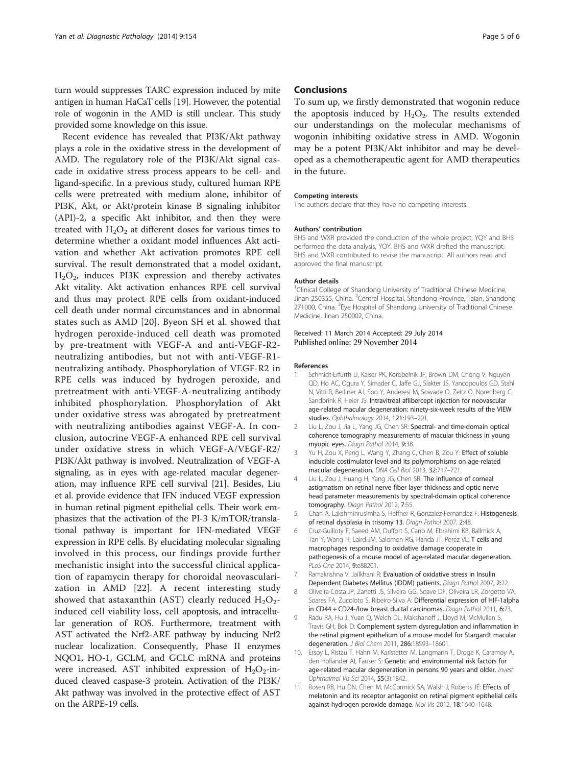<span id="page-4-0"></span>turn would suppresses TARC expression induced by mite antigen in human HaCaT cells [[19\]](#page-5-0). However, the potential role of wogonin in the AMD is still unclear. This study provided some knowledge on this issue.

Recent evidence has revealed that PI3K/Akt pathway plays a role in the oxidative stress in the development of AMD. The regulatory role of the PI3K/Akt signal cascade in oxidative stress process appears to be cell- and ligand-specific. In a previous study, cultured human RPE cells were pretreated with medium alone, inhibitor of PI3K, Akt, or Akt/protein kinase B signaling inhibitor (API)-2, a specific Akt inhibitor, and then they were treated with  $H_2O_2$  at different doses for various times to determine whether a oxidant model influences Akt activation and whether Akt activation promotes RPE cell survival. The result demonstrated that a model oxidant,  $H<sub>2</sub>O<sub>2</sub>$ , induces PI3K expression and thereby activates Akt vitality. Akt activation enhances RPE cell survival and thus may protect RPE cells from oxidant-induced cell death under normal circumstances and in abnormal states such as AMD [\[20\]](#page-5-0). Byeon SH et al. showed that hydrogen peroxide-induced cell death was promoted by pre-treatment with VEGF-A and anti-VEGF-R2 neutralizing antibodies, but not with anti-VEGF-R1 neutralizing antibody. Phosphorylation of VEGF-R2 in RPE cells was induced by hydrogen peroxide, and pretreatment with anti-VEGF-A-neutralizing antibody inhibited phosphorylation. Phosphorylation of Akt under oxidative stress was abrogated by pretreatment with neutralizing antibodies against VEGF-A. In conclusion, autocrine VEGF-A enhanced RPE cell survival under oxidative stress in which VEGF-A/VEGF-R2/ PI3K/Akt pathway is involved. Neutralization of VEGF-A signaling, as in eyes with age-related macular degeneration, may influence RPE cell survival [\[21\]](#page-5-0). Besides, Liu et al. provide evidence that IFN induced VEGF expression in human retinal pigment epithelial cells. Their work emphasizes that the activation of the PI-3 K/mTOR/translational pathway is important for IFN-mediated VEGF expression in RPE cells. By elucidating molecular signaling involved in this process, our findings provide further mechanistic insight into the successful clinical application of rapamycin therapy for choroidal neovascularization in AMD [[22](#page-5-0)]. A recent interesting study showed that astaxanthin (AST) clearly reduced  $H_2O_2$ induced cell viability loss, cell apoptosis, and intracellular generation of ROS. Furthermore, treatment with AST activated the Nrf2-ARE pathway by inducing Nrf2 nuclear localization. Consequently, Phase II enzymes NQO1, HO-1, GCLM, and GCLC mRNA and proteins were increased. AST inhibited expression of  $H_2O_2$ -induced cleaved caspase-3 protein. Activation of the PI3K/ Akt pathway was involved in the protective effect of AST on the ARPE-19 cells.

#### Conclusions

To sum up, we firstly demonstrated that wogonin reduce the apoptosis induced by  $H_2O_2$ . The results extended our understandings on the molecular mechanisms of wogonin inhibiting oxidative stress in AMD. Wogonin may be a potent PI3K/Akt inhibitor and may be developed as a chemotherapeutic agent for AMD therapeutics in the future.

#### Competing interests

The authors declare that they have no competing interests.

#### Authors' contribution

BHS and WXR provided the conduction of the whole project, YQY and BHS performed the data analysis, YQY, BHS and WXR drafted the manuscript; BHS and WXR contributed to revise the manuscript. All authors read and approved the final manuscript.

#### Author details

<sup>1</sup>Clinical College of Shandong University of Traditional Chinese Medicine, Jinan 250355, China. <sup>2</sup>Central Hospital, Shandong Province, Taian, Shandong 271000, China. <sup>3</sup> Eye Hospital of Shandong University of Traditional Chinese Medicine, Jinan 250002, China.

#### Received: 11 March 2014 Accepted: 29 July 2014 Published online: 29 November 2014

#### References

- Schmidt-Erfurth U, Kaiser PK, Korobelnik JF, Brown DM, Chong V, Nguyen QD, Ho AC, Ogura Y, Simader C, Jaffe GJ, Slakter JS, Yancopoulos GD, Stahl N, Vitti R, Berliner AJ, Soo Y, Anderesi M, Sowade O, Zeitz O, Norenberg C, Sandbrink R, Heier JS: Intravitreal aflibercept injection for neovascular age-related macular degeneration: ninety-six-week results of the VIEW studies. Ophthalmology 2014, 121:193–201.
- 2. Liu L, Zou J, Jia L, Yang JG, Chen SR: Spectral- and time-domain optical coherence tomography measurements of macular thickness in young myopic eyes. Diagn Pathol 2014, 9:38.
- 3. Yu H, Zou X, Peng L, Wang Y, Zhang C, Chen B, Zou Y: Effect of soluble inducible costimulator level and its polymorphisms on age-related macular degeneration. DNA Cell Biol 2013, 32:717–721.
- 4. Liu L, Zou J, Huang H, Yang JG, Chen SR: The influence of corneal astigmatism on retinal nerve fiber layer thickness and optic nerve head parameter measurements by spectral-domain optical coherence tomography. Diagn Pathol 2012, 7:55.
- 5. Chan A, Lakshminrusimha S, Heffner R, Gonzalez-Fernandez F: Histogenesis of retinal dysplasia in trisomy 13. Diagn Pathol 2007, 2:48.
- 6. Cruz-Guilloty F, Saeed AM, Duffort S, Cano M, Ebrahimi KB, Ballmick A, Tan Y, Wang H, Laird JM, Salomon RG, Handa JT, Perez VL: T cells and macrophages responding to oxidative damage cooperate in pathogenesis of a mouse model of age-related macular degeneration. PLoS One 2014, 9:e88201.
- 7. Ramakrishna V, Jailkhani R: Evaluation of oxidative stress in Insulin Dependent Diabetes Mellitus (IDDM) patients. Diagn Pathol 2007, 2:22.
- 8. Oliveira-Costa JP, Zanetti JS, Silveira GG, Soave DF, Oliveira LR, Zorgetto VA, Soares FA, Zucoloto S, Ribeiro-Silva A: Differential expression of HIF-1alpha in CD44 + CD24-/low breast ductal carcinomas. Diagn Pathol 2011, 6:73.
- 9. Radu RA, Hu J, Yuan Q, Welch DL, Makshanoff J, Lloyd M, McMullen S, Travis GH, Bok D: Complement system dysregulation and inflammation in the retinal pigment epithelium of a mouse model for Stargardt macular degeneration. J Biol Chem 2011, 286:18593–18601.
- 10. Ersoy L, Ristau T, Hahn M, Karlstetter M, Langmann T, Droge K, Caramoy A, den Hollander AI, Fauser S: Genetic and environmental risk factors for age-related macular degeneration in persons 90 years and older. Invest Ophthalmol Vis Sci 2014, <sup>55</sup>(3):1842.
- 11. Rosen RB, Hu DN, Chen M, McCormick SA, Walsh J, Roberts JE: Effects of melatonin and its receptor antagonist on retinal pigment epithelial cells against hydrogen peroxide damage. Mol Vis 2012, 18:1640–1648.